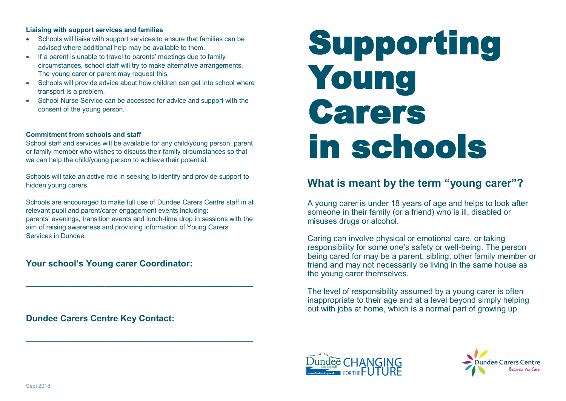#### **Liaising with support services and families**

- Schools will liaise with support services to ensure that families can be advised where additional help may be available to them.
- If a parent is unable to travel to parents' meetings due to family circumstances, school staff will try to make alternative arrangements. The young carer or parent may request this.
- Schools will provide advice about how children can get into school where transport is a problem.
- School Nurse Service can be accessed for advice and support with the consent of the young person.

#### **Commitment from schools and staff**

School staff and services will be available for any child/young person, parent or family member who wishes to discuss their family circumstances so that we can help the child/young person to achieve their potential.

Schools will take an active role in seeking to identify and provide support to hidden young carers.

Schools are encouraged to make full use of Dundee Carers Centre staff in all relevant pupil and parent/carer engagement events including: parents' evenings, transition events and lunch-time drop in sessions with the aim of raising awareness and providing information of Young Carers Services in Dundee.

——————————————————————————

——————————————————————————

### **Your school's Young carer Coordinator:**

**Dundee Carers Centre Key Contact:**

# Supporting Young Carers in schools

## **What is meant by the term "young carer"?**

A young carer is under 18 years of age and helps to look after someone in their family (or a friend) who is ill, disabled or misuses drugs or alcohol.

Caring can involve physical or emotional care, or taking responsibility for some one's safety or well-being. The person being cared for may be a parent, sibling, other family member or friend and may not necessarily be living in the same house as the young carer themselves.

The level of responsibility assumed by a young carer is often inappropriate to their age and at a level beyond simply helping out with jobs at home, which is a normal part of growing up.